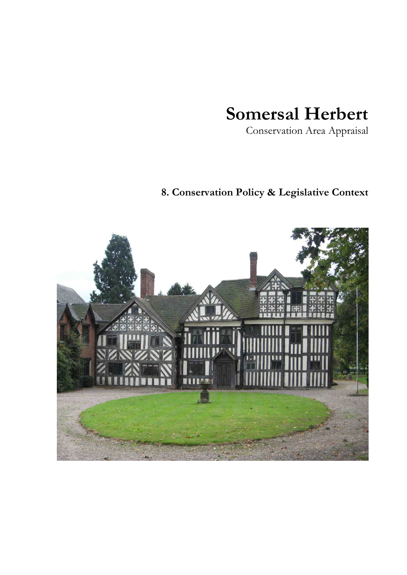# **Somersal Herbert**

Conservation Area Appraisal

# **8. Conservation Policy & Legislative Context**

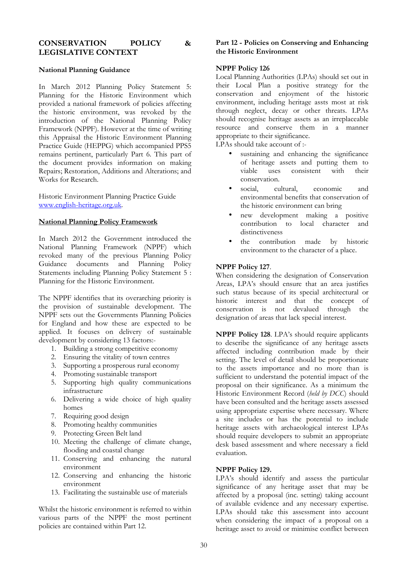# **CONSERVATION POLICY & LEGISLATIVE CONTEXT**

# **National Planning Guidance**

In March 2012 Planning Policy Statement 5: Planning for the Historic Environment which provided a national framework of policies affecting the historic environment, was revoked by the introduction of the National Planning Policy Framework (NPPF). However at the time of writing this Appraisal the Historic Environment Planning Practice Guide (HEPPG) which accompanied PPS5 remains pertinent, particularly Part 6. This part of the document provides information on making Repairs; Restoration, Additions and Alterations; and Works for Research.

Historic Environment Planning Practice Guide www.english-heritage.org.uk.

#### **National Planning Policy Framework**

In March 2012 the Government introduced the National Planning Framework (NPPF) which revoked many of the previous Planning Policy Guidance documents and Planning Policy Statements including Planning Policy Statement 5 : Planning for the Historic Environment.

The NPPF identifies that its overarching priority is the provision of sustainable development. The NPPF sets out the Governments Planning Policies for England and how these are expected to be applied. It focuses on delivery of sustainable development by considering 13 factors:-

- 1. Building a strong competitive economy
- 2. Ensuring the vitality of town centres
- 3. Supporting a prosperous rural economy
- 4. Promoting sustainable transport
- 5. Supporting high quality communications infrastructure
- 6. Delivering a wide choice of high quality homes
- 7. Requiring good design
- 8. Promoting healthy communities
- 9. Protecting Green Belt land
- 10. Meeting the challenge of climate change, flooding and coastal change
- 11. Conserving and enhancing the natural environment
- 12. Conserving and enhancing the historic environment
- 13. Facilitating the sustainable use of materials

Whilst the historic environment is referred to within various parts of the NPPF the most pertinent policies are contained within Part 12.

# **Part 12 - Policies on Conserving and Enhancing the Historic Environment**

## **NPPF Policy 126**

Local Planning Authorities (LPAs) should set out in their Local Plan a positive strategy for the conservation and enjoyment of the historic environment, including heritage assts most at risk through neglect, decay or other threats. LPAs should recognise heritage assets as an irreplaceable resource and conserve them in a manner appropriate to their significance.

LPAs should take account of :-

- sustaining and enhancing the significance of heritage assets and putting them to viable uses consistent with their conservation.
- social, cultural, economic and environmental benefits that conservation of the historic environment can bring
- new development making a positive contribution to local character and distinctiveness
- the contribution made by historic environment to the character of a place.

### **NPPF Policy 127**.

When considering the designation of Conservation Areas, LPA's should ensure that an area justifies such status because of its special architectural or historic interest and that the concept of conservation is not devalued through the designation of areas that lack special interest.

**NPPF Policy 128**. LPA's should require applicants to describe the significance of any heritage assets affected including contribution made by their setting. The level of detail should be proportionate to the assets importance and no more than is sufficient to understand the potential impact of the proposal on their significance. As a minimum the Historic Environment Record (*held by DCC*) should have been consulted and the heritage assets assessed using appropriate expertise where necessary. Where a site includes or has the potential to include heritage assets with archaeological interest LPAs should require developers to submit an appropriate desk based assessment and where necessary a field evaluation.

# **NPPF Policy 129.**

LPA's should identify and assess the particular significance of any heritage asset that may be affected by a proposal (inc. setting) taking account of available evidence and any necessary expertise. LPAs should take this assessment into account when considering the impact of a proposal on a heritage asset to avoid or minimise conflict between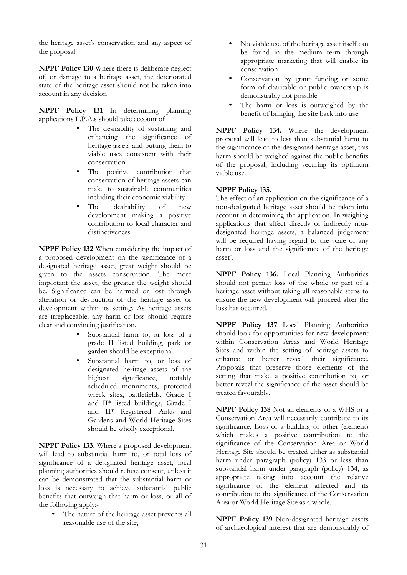the heritage asset's conservation and any aspect of the proposal.

**NPPF Policy 130** Where there is deliberate neglect of, or damage to a heritage asset, the deteriorated state of the heritage asset should not be taken into account in any decision

**NPPF Policy 131** In determining planning applications L.P.A.s should take account of

- The desirability of sustaining and enhancing the significance of heritage assets and putting them to viable uses consistent with their conservation
- The positive contribution that conservation of heritage assets can make to sustainable communities including their economic viability
- The desirability of new development making a positive contribution to local character and distinctiveness

**NPPF Policy 132** When considering the impact of a proposed development on the significance of a designated heritage asset, great weight should be given to the assets conservation. The more important the asset, the greater the weight should be. Significance can be harmed or lost through alteration or destruction of the heritage asset or development within its setting. As heritage assets are irreplaceable, any harm or loss should require clear and convincing justification.

- Substantial harm to, or loss of a grade II listed building, park or garden should be exceptional.
- Substantial harm to, or loss of designated heritage assets of the<br>highest significance. notably significance. scheduled monuments, protected wreck sites, battlefields, Grade I and II\* listed buildings, Grade I and II\* Registered Parks and Gardens and World Heritage Sites should be wholly exceptional.

**NPPF Policy 133.** Where a proposed development will lead to substantial harm to, or total loss of significance of a designated heritage asset, local planning authorities should refuse consent, unless it can be demonstrated that the substantial harm or loss is necessary to achieve substantial public benefits that outweigh that harm or loss, or all of the following apply:-

• The nature of the heritage asset prevents all reasonable use of the site;

- No viable use of the heritage asset itself can be found in the medium term through appropriate marketing that will enable its conservation
- Conservation by grant funding or some form of charitable or public ownership is demonstrably not possible
- The harm or loss is outweighed by the benefit of bringing the site back into use

**NPPF Policy 134.** Where the development proposal will lead to less than substantial harm to the significance of the designated heritage asset, this harm should be weighed against the public benefits of the proposal, including securing its optimum viable use.

# **NPPF Policy 135.**

The effect of an application on the significance of a non-designated heritage asset should be taken into account in determining the application. In weighing applications that affect directly or indirectly nondesignated heritage assets, a balanced judgement will be required having regard to the scale of any harm or loss and the significance of the heritage asset'.

**NPPF Policy 136.** Local Planning Authorities should not permit loss of the whole or part of a heritage asset without taking all reasonable steps to ensure the new development will proceed after the loss has occurred.

**NPPF Policy 137** Local Planning Authorities should look for opportunities for new development within Conservation Areas and World Heritage Sites and within the setting of heritage assets to enhance or better reveal their significance. Proposals that preserve those elements of the setting that make a positive contribution to, or better reveal the significance of the asset should be treated favourably.

**NPPF Policy 138** Not all elements of a WHS or a Conservation Area will necessarily contribute to its significance. Loss of a building or other (element) which makes a positive contribution to the significance of the Conservation Area or World Heritage Site should be treated either as substantial harm under paragraph (policy) 133 or less than substantial harm under paragraph (policy) 134, as appropriate taking into account the relative significance of the element affected and its contribution to the significance of the Conservation Area or World Heritage Site as a whole.

**NPPF Policy 139** Non-designated heritage assets of archaeological interest that are demonstrably of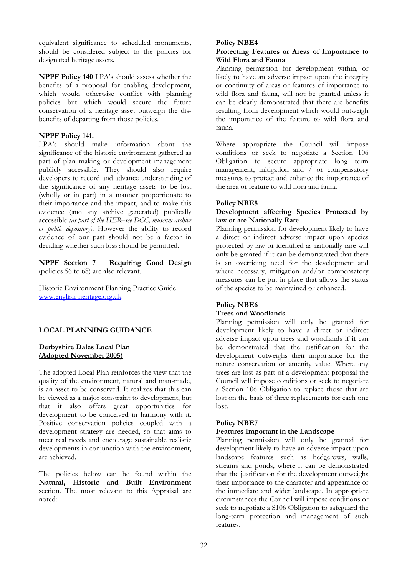equivalent significance to scheduled monuments, should be considered subject to the policies for designated heritage assets**.** 

**NPPF Policy 140** LPA's should assess whether the benefits of a proposal for enabling development, which would otherwise conflict with planning policies but which would secure the future conservation of a heritage asset outweigh the disbenefits of departing from those policies.

### **NPPF Policy 141.**

LPA's should make information about the significance of the historic environment gathered as part of plan making or development management publicly accessible. They should also require developers to record and advance understanding of the significance of any heritage assets to be lost (wholly or in part) in a manner proportionate to their importance and the impact, and to make this evidence (and any archive generated) publically accessible *(as part of the HER–see DCC, museum archive or public depository)*. However the ability to record evidence of our past should not be a factor in deciding whether such loss should be permitted.

**NPPF Section 7 – Requiring Good Design**  (policies 56 to 68) are also relevant.

Historic Environment Planning Practice Guide www.english-heritage.org.uk

# **LOCAL PLANNING GUIDANCE**

# **Derbyshire Dales Local Plan (Adopted November 2005)**

The adopted Local Plan reinforces the view that the quality of the environment, natural and man-made, is an asset to be conserved. It realizes that this can be viewed as a major constraint to development, but that it also offers great opportunities for development to be conceived in harmony with it. Positive conservation policies coupled with a development strategy are needed, so that aims to meet real needs and encourage sustainable realistic developments in conjunction with the environment, are achieved.

The policies below can be found within the **Natural, Historic and Built Environment** section. The most relevant to this Appraisal are noted:

#### **Policy NBE4**

#### **Protecting Features or Areas of Importance to Wild Flora and Fauna**

Planning permission for development within, or likely to have an adverse impact upon the integrity or continuity of areas or features of importance to wild flora and fauna, will not be granted unless it can be clearly demonstrated that there are benefits resulting from development which would outweigh the importance of the feature to wild flora and fauna.

Where appropriate the Council will impose conditions or seek to negotiate a Section 106 Obligation to secure appropriate long term management, mitigation and  $\overline{\smash{)}\,}$  or compensatory measures to protect and enhance the importance of the area or feature to wild flora and fauna

#### **Policy NBE5**

#### **Development affecting Species Protected by law or are Nationally Rare**

Planning permission for development likely to have a direct or indirect adverse impact upon species protected by law or identified as nationally rare will only be granted if it can be demonstrated that there is an overriding need for the development and where necessary, mitigation and/or compensatory measures can be put in place that allows the status of the species to be maintained or enhanced.

# **Policy NBE6 Trees and Woodlands**

Planning permission will only be granted for development likely to have a direct or indirect adverse impact upon trees and woodlands if it can be demonstrated that the justification for the development outweighs their importance for the nature conservation or amenity value. Where any trees are lost as part of a development proposal the Council will impose conditions or seek to negotiate a Section 106 Obligation to replace those that are lost on the basis of three replacements for each one lost.

#### **Policy NBE7**

#### **Features Important in the Landscape**

Planning permission will only be granted for development likely to have an adverse impact upon landscape features such as hedgerows, walls, streams and ponds, where it can be demonstrated that the justification for the development outweighs their importance to the character and appearance of the immediate and wider landscape. In appropriate circumstances the Council will impose conditions or seek to negotiate a S106 Obligation to safeguard the long-term protection and management of such features.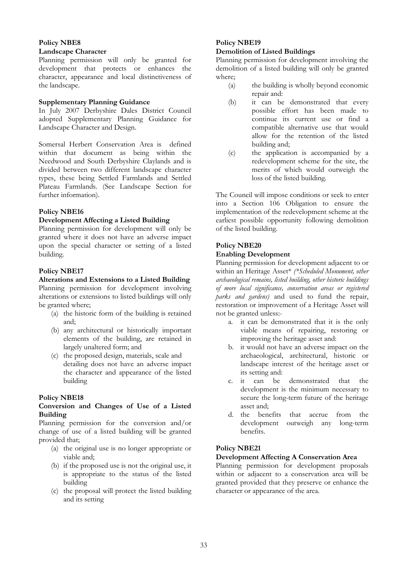# **Policy NBE8**

#### **Landscape Character**

Planning permission will only be granted for development that protects or enhances the character, appearance and local distinctiveness of the landscape.

### **Supplementary Planning Guidance**

In July 2007 Derbyshire Dales District Council adopted Supplementary Planning Guidance for Landscape Character and Design.

Somersal Herbert Conservation Area is defined within that document as being within the Needwood and South Derbyshire Claylands and is divided between two different landscape character types, these being Settled Farmlands and Settled Plateau Farmlands. (See Landscape Section for further information).

# **Policy NBE16**

# **Development Affecting a Listed Building**

Planning permission for development will only be granted where it does not have an adverse impact upon the special character or setting of a listed building.

# **Policy NBE17**

# **Alterations and Extensions to a Listed Building**  Planning permission for development involving alterations or extensions to listed buildings will only

be granted where;

- (a) the historic form of the building is retained and;
- (b) any architectural or historically important elements of the building, are retained in largely unaltered form; and
- (c) the proposed design, materials, scale and detailing does not have an adverse impact the character and appearance of the listed building

# **Policy NBE18**

#### **Conversion and Changes of Use of a Listed Building**

Planning permission for the conversion and/or change of use of a listed building will be granted provided that;

- (a) the original use is no longer appropriate or viable and;
- (b) if the proposed use is not the original use, it is appropriate to the status of the listed building
- (c) the proposal will protect the listed building and its setting

# **Policy NBE19**

# **Demolition of Listed Buildings**

Planning permission for development involving the demolition of a listed building will only be granted where;

- (a) the building is wholly beyond economic repair and:
- (b) it can be demonstrated that every possible effort has been made to continue its current use or find a compatible alternative use that would allow for the retention of the listed building and;
- (c) the application is accompanied by a redevelopment scheme for the site, the merits of which would outweigh the loss of the listed building.

The Council will impose conditions or seek to enter into a Section 106 Obligation to ensure the implementation of the redevelopment scheme at the earliest possible opportunity following demolition of the listed building.

# **Policy NBE20**

# **Enabling Development**

Planning permission for development adjacent to or within an Heritage Asset\* *(\*Scheduled Monument, other archaeological remains, listed building, other historic buildings of more local significance, conservation areas or registered parks and gardens)* and used to fund the repair, restoration or improvement of a Heritage Asset will not be granted unless:-

- a. it can be demonstrated that it is the only viable means of repairing, restoring or improving the heritage asset and:
- b. it would not have an adverse impact on the archaeological, architectural, historic or landscape interest of the heritage asset or its setting and:
- c. it can be demonstrated that the development is the minimum necessary to secure the long-term future of the heritage asset and;<br>the benefits
- d. the benefits that accrue from the development outweigh any long-term benefits.

# **Policy NBE21**

# **Development Affecting A Conservation Area**

Planning permission for development proposals within or adjacent to a conservation area will be granted provided that they preserve or enhance the character or appearance of the area.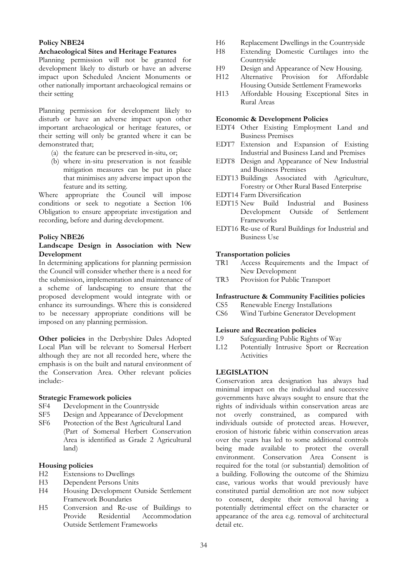### **Policy NBE24**

#### **Archaeological Sites and Heritage Features**

Planning permission will not be granted for development likely to disturb or have an adverse impact upon Scheduled Ancient Monuments or other nationally important archaeological remains or their setting

Planning permission for development likely to disturb or have an adverse impact upon other important archaeological or heritage features, or their setting will only be granted where it can be demonstrated that;

- (a) the feature can be preserved in-situ, or;
- (b) where in-situ preservation is not feasible mitigation measures can be put in place that minimises any adverse impact upon the feature and its setting.

Where appropriate the Council will impose conditions or seek to negotiate a Section 106 Obligation to ensure appropriate investigation and recording, before and during development.

#### **Policy NBE26**

#### **Landscape Design in Association with New Development**

In determining applications for planning permission the Council will consider whether there is a need for the submission, implementation and maintenance of a scheme of landscaping to ensure that the proposed development would integrate with or enhance its surroundings. Where this is considered to be necessary appropriate conditions will be imposed on any planning permission.

**Other policies** in the Derbyshire Dales Adopted Local Plan will be relevant to Somersal Herbert although they are not all recorded here, where the emphasis is on the built and natural environment of the Conservation Area. Other relevant policies include:-

#### **Strategic Framework policies**

- SF4 Development in the Countryside<br>SF5 Design and Appearance of Devel
- Design and Appearance of Development
- SF6 Protection of the Best Agricultural Land (Part of Somersal Herbert Conservation Area is identified as Grade 2 Agricultural land)

#### **Housing policies**

- H2 Extensions to Dwellings
- H3 Dependent Persons Units
- H4 Housing Development Outside Settlement Framework Boundaries
- H5 Conversion and Re-use of Buildings to Accommodation Outside Settlement Frameworks
- H6 Replacement Dwellings in the Countryside
- H8 Extending Domestic Curtilages into the Countryside
- H9 Design and Appearance of New Housing.
- H12 Alternative Provision for Affordable Housing Outside Settlement Frameworks
- H13 Affordable Housing Exceptional Sites in Rural Areas

#### **Economic & Development Policies**

- EDT4 Other Existing Employment Land and Business Premises
- EDT7 Extension and Expansion of Existing Industrial and Business Land and Premises
- EDT8 Design and Appearance of New Industrial and Business Premises
- EDT13 Buildings Associated with Agriculture, Forestry or Other Rural Based Enterprise
- EDT14 Farm Diversification
- EDT15 New Build Industrial and Business Development Outside of Frameworks
- EDT16 Re-use of Rural Buildings for Industrial and Business Use

#### **Transportation policies**

- TR1 Access Requirements and the Impact of New Development
- TR3 Provision for Public Transport

#### **Infrastructure & Community Facilities policies**

- CS5 Renewable Energy Installations
- CS6 Wind Turbine Generator Development

#### **Leisure and Recreation policies**

- L9 Safeguarding Public Rights of Way<br>
L12 Potentially Intrusive Sport or Re
- Potentially Intrusive Sport or Recreation **Activities**

# **LEGISLATION**

Conservation area designation has always had minimal impact on the individual and successive governments have always sought to ensure that the rights of individuals within conservation areas are<br>not overly constrained, as compared with constrained, as compared with individuals outside of protected areas. However, erosion of historic fabric within conservation areas over the years has led to some additional controls being made available to protect the overall environment. Conservation Area Consent is required for the total (or substantial) demolition of a building. Following the outcome of the Shimizu case, various works that would previously have constituted partial demolition are not now subject to consent, despite their removal having a potentially detrimental effect on the character or appearance of the area e.g. removal of architectural detail etc.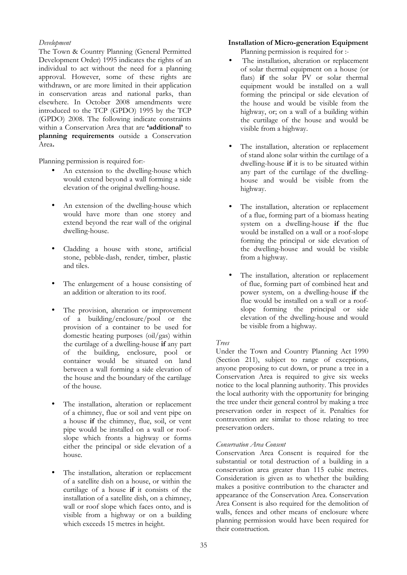### *Development*

The Town & Country Planning (General Permitted Development Order) 1995 indicates the rights of an individual to act without the need for a planning approval. However, some of these rights are withdrawn, or are more limited in their application in conservation areas and national parks, than elsewhere. In October 2008 amendments were introduced to the TCP (GPDO) 1995 by the TCP (GPDO) 2008. The following indicate constraints within a Conservation Area that are **'additional'** to **planning requirements** outside a Conservation Area**.** 

Planning permission is required for:-

- An extension to the dwelling-house which would extend beyond a wall forming a side elevation of the original dwelling-house.
- An extension of the dwelling-house which would have more than one storey and extend beyond the rear wall of the original dwelling-house.
- Cladding a house with stone, artificial stone, pebble-dash, render, timber, plastic and tiles.
- The enlargement of a house consisting of an addition or alteration to its roof.
- The provision, alteration or improvement of a building/enclosure/pool or the provision of a container to be used for domestic heating purposes (oil/gas) within the curtilage of a dwelling-house **if** any part of the building, enclosure, pool or container would be situated on land between a wall forming a side elevation of the house and the boundary of the cartilage of the house.
- The installation, alteration or replacement of a chimney, flue or soil and vent pipe on a house **if** the chimney, flue, soil, or vent pipe would be installed on a wall or roofslope which fronts a highway or forms either the principal or side elevation of a house.
- The installation, alteration or replacement of a satellite dish on a house, or within the curtilage of a house **if** it consists of the installation of a satellite dish, on a chimney, wall or roof slope which faces onto, and is visible from a highway or on a building which exceeds 15 metres in height.

# **Installation of Micro-generation Equipment**

Planning permission is required for :-

- The installation, alteration or replacement of solar thermal equipment on a house (or flats) **if** the solar PV or solar thermal equipment would be installed on a wall forming the principal or side elevation of the house and would be visible from the highway, or; on a wall of a building within the curtilage of the house and would be visible from a highway.
- The installation, alteration or replacement of stand alone solar within the curtilage of a dwelling-house **if** it is to be situated within any part of the curtilage of the dwellinghouse and would be visible from the highway.
- The installation, alteration or replacement of a flue, forming part of a biomass heating system on a dwelling-house **if** the flue would be installed on a wall or a roof-slope forming the principal or side elevation of the dwelling-house and would be visible from a highway.
- The installation, alteration or replacement of flue, forming part of combined heat and power system, on a dwelling-house **if** the flue would be installed on a wall or a roofslope forming the principal or side elevation of the dwelling-house and would be visible from a highway.

# *Trees*

Under the Town and Country Planning Act 1990 (Section 211), subject to range of exceptions, anyone proposing to cut down, or prune a tree in a Conservation Area is required to give six weeks notice to the local planning authority. This provides the local authority with the opportunity for bringing the tree under their general control by making a tree preservation order in respect of it. Penalties for contravention are similar to those relating to tree preservation orders.

#### *Conservation Area Consent*

Conservation Area Consent is required for the substantial or total destruction of a building in a conservation area greater than 115 cubic metres. Consideration is given as to whether the building makes a positive contribution to the character and appearance of the Conservation Area. Conservation Area Consent is also required for the demolition of walls, fences and other means of enclosure where planning permission would have been required for their construction.